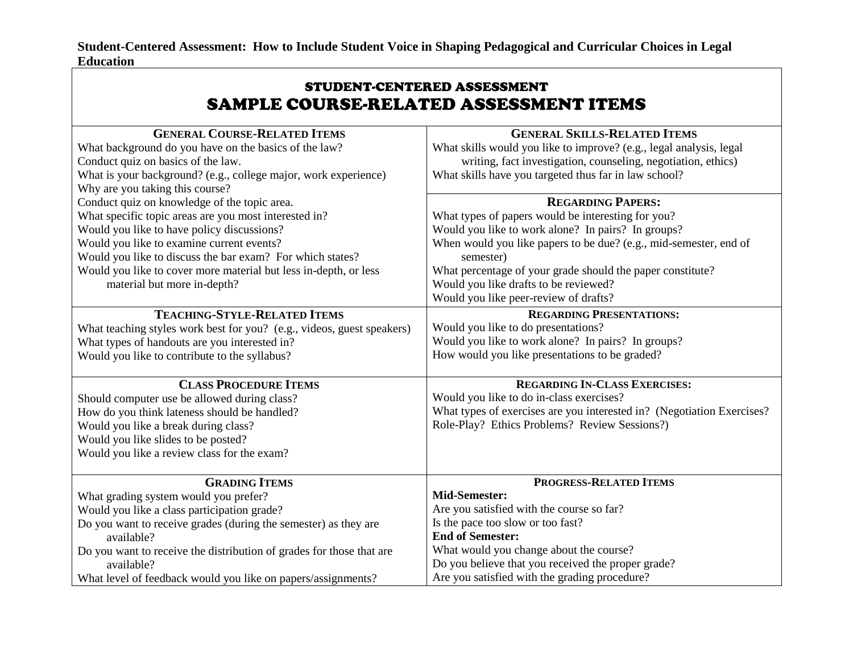**Student-Centered Assessment: How to Include Student Voice in Shaping Pedagogical and Curricular Choices in Legal Education**

|                                                                                                                                                                                                                                                                                                                                                                  | STUDENT-CENTERED ASSESSMENT<br>SAMPLE COURSE-RELATED ASSESSMENT ITEMS                                                                                                                                                                                                                                                                                                  |
|------------------------------------------------------------------------------------------------------------------------------------------------------------------------------------------------------------------------------------------------------------------------------------------------------------------------------------------------------------------|------------------------------------------------------------------------------------------------------------------------------------------------------------------------------------------------------------------------------------------------------------------------------------------------------------------------------------------------------------------------|
| <b>GENERAL COURSE-RELATED ITEMS</b><br>What background do you have on the basics of the law?<br>Conduct quiz on basics of the law.<br>What is your background? (e.g., college major, work experience)<br>Why are you taking this course?                                                                                                                         | <b>GENERAL SKILLS-RELATED ITEMS</b><br>What skills would you like to improve? (e.g., legal analysis, legal<br>writing, fact investigation, counseling, negotiation, ethics)<br>What skills have you targeted thus far in law school?                                                                                                                                   |
| Conduct quiz on knowledge of the topic area.<br>What specific topic areas are you most interested in?<br>Would you like to have policy discussions?<br>Would you like to examine current events?<br>Would you like to discuss the bar exam? For which states?<br>Would you like to cover more material but less in-depth, or less<br>material but more in-depth? | <b>REGARDING PAPERS:</b><br>What types of papers would be interesting for you?<br>Would you like to work alone? In pairs? In groups?<br>When would you like papers to be due? (e.g., mid-semester, end of<br>semester)<br>What percentage of your grade should the paper constitute?<br>Would you like drafts to be reviewed?<br>Would you like peer-review of drafts? |
| <b>TEACHING-STYLE-RELATED ITEMS</b><br>What teaching styles work best for you? (e.g., videos, guest speakers)<br>What types of handouts are you interested in?<br>Would you like to contribute to the syllabus?                                                                                                                                                  | <b>REGARDING PRESENTATIONS:</b><br>Would you like to do presentations?<br>Would you like to work alone? In pairs? In groups?<br>How would you like presentations to be graded?                                                                                                                                                                                         |
| <b>CLASS PROCEDURE ITEMS</b><br>Should computer use be allowed during class?<br>How do you think lateness should be handled?<br>Would you like a break during class?<br>Would you like slides to be posted?<br>Would you like a review class for the exam?                                                                                                       | <b>REGARDING IN-CLASS EXERCISES:</b><br>Would you like to do in-class exercises?<br>What types of exercises are you interested in? (Negotiation Exercises?<br>Role-Play? Ethics Problems? Review Sessions?)                                                                                                                                                            |
| <b>GRADING ITEMS</b><br>What grading system would you prefer?<br>Would you like a class participation grade?<br>Do you want to receive grades (during the semester) as they are<br>available?<br>Do you want to receive the distribution of grades for those that are<br>available?<br>What level of feedback would you like on papers/assignments?              | PROGRESS-RELATED ITEMS<br><b>Mid-Semester:</b><br>Are you satisfied with the course so far?<br>Is the pace too slow or too fast?<br><b>End of Semester:</b><br>What would you change about the course?<br>Do you believe that you received the proper grade?<br>Are you satisfied with the grading procedure?                                                          |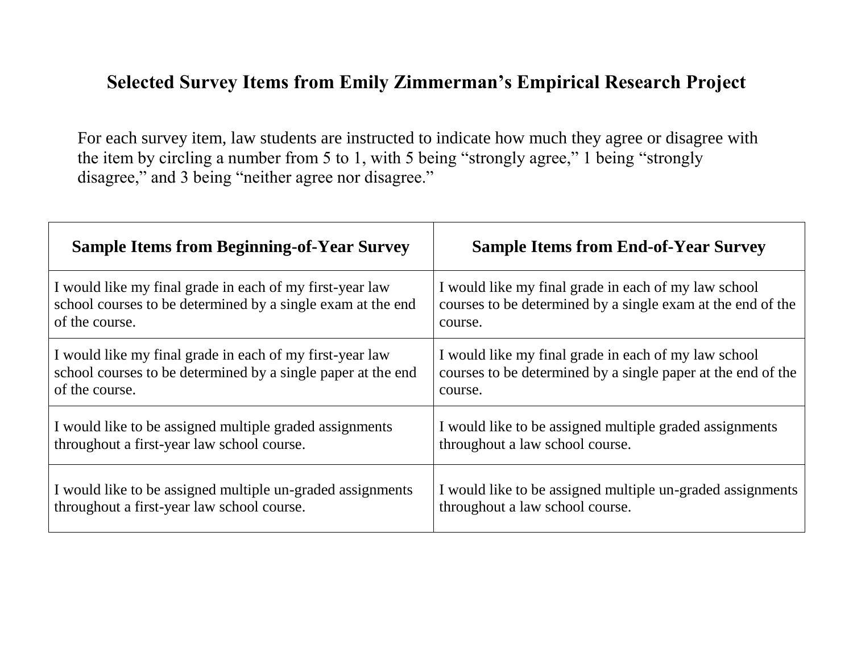## **Selected Survey Items from Emily Zimmerman's Empirical Research Project**

For each survey item, law students are instructed to indicate how much they agree or disagree with the item by circling a number from 5 to 1, with 5 being "strongly agree," 1 being "strongly disagree," and 3 being "neither agree nor disagree."

| <b>Sample Items from Beginning-of-Year Survey</b>            | <b>Sample Items from End-of-Year Survey</b>                  |
|--------------------------------------------------------------|--------------------------------------------------------------|
| I would like my final grade in each of my first-year law     | I would like my final grade in each of my law school         |
| school courses to be determined by a single exam at the end  | courses to be determined by a single exam at the end of the  |
| of the course.                                               | course.                                                      |
| I would like my final grade in each of my first-year law     | I would like my final grade in each of my law school         |
| school courses to be determined by a single paper at the end | courses to be determined by a single paper at the end of the |
| of the course.                                               | course.                                                      |
| I would like to be assigned multiple graded assignments      | I would like to be assigned multiple graded assignments      |
| throughout a first-year law school course.                   | throughout a law school course.                              |
| I would like to be assigned multiple un-graded assignments   | I would like to be assigned multiple un-graded assignments   |
| throughout a first-year law school course.                   | throughout a law school course.                              |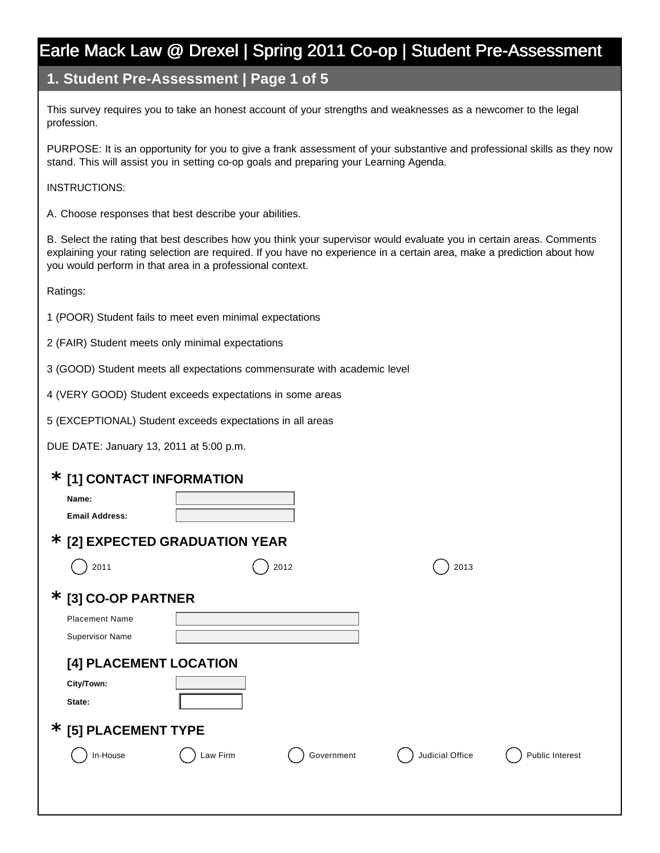## Earle Mack Law @ Drexel | Spring 2011 Co-op | Student Pre-Assessment

#### **1. Student Pre-Assessment | Page 1 of 5**

This survey requires you to take an honest account of your strengths and weaknesses as a newcomer to the legal profession.

PURPOSE: It is an opportunity for you to give a frank assessment of your substantive and professional skills as they now stand. This will assist you in setting co-op goals and preparing your Learning Agenda.

#### INSTRUCTIONS:

A. Choose responses that best describe your abilities.

B. Select the rating that best describes how you think your supervisor would evaluate you in certain areas. Comments explaining your rating selection are required. If you have no experience in a certain area, make a prediction about how you would perform in that area in a professional context.

Ratings:

- 1 (POOR) Student fails to meet even minimal expectations
- 2 (FAIR) Student meets only minimal expectations
- 3 (GOOD) Student meets all expectations commensurate with academic level
- 4 (VERY GOOD) Student exceeds expectations in some areas
- 5 (EXCEPTIONAL) Student exceeds expectations in all areas

DUE DATE: January 13, 2011 at 5:00 p.m.

| $\star$ [1] CONTACT INFORMATION      |          |            |                 |                        |
|--------------------------------------|----------|------------|-----------------|------------------------|
| Name:                                |          |            |                 |                        |
| <b>Email Address:</b>                |          |            |                 |                        |
| $\star$ [2] EXPECTED GRADUATION YEAR |          |            |                 |                        |
| 2011                                 |          | 2012       | 2013            |                        |
|                                      |          |            |                 |                        |
| $*$ [3] CO-OP PARTNER                |          |            |                 |                        |
| <b>Placement Name</b>                |          |            |                 |                        |
| <b>Supervisor Name</b>               |          |            |                 |                        |
| [4] PLACEMENT LOCATION               |          |            |                 |                        |
| City/Town:                           |          |            |                 |                        |
| State:                               |          |            |                 |                        |
| $*$ [5] PLACEMENT TYPE               |          |            |                 |                        |
| In-House                             | Law Firm | Government | Judicial Office | <b>Public Interest</b> |
|                                      |          |            |                 |                        |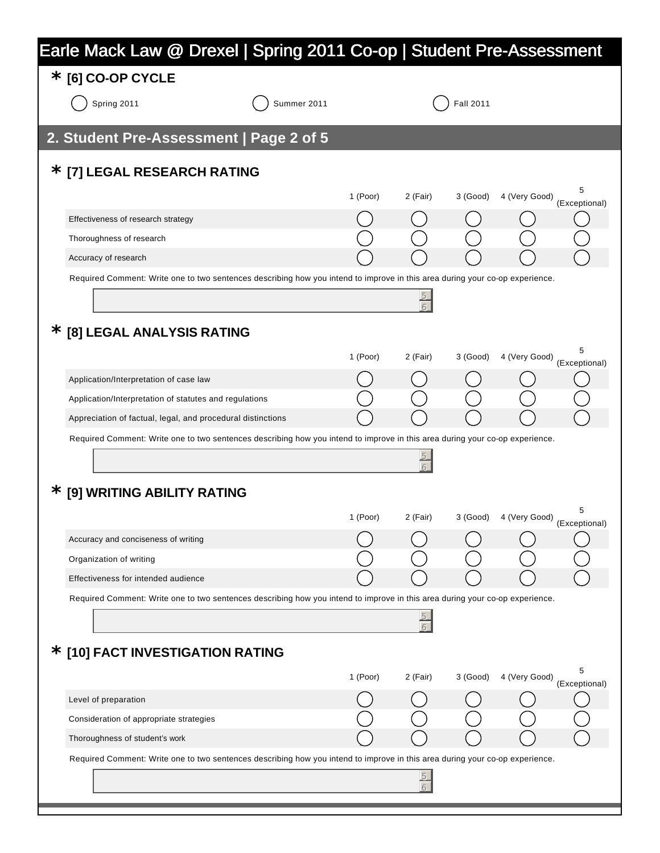| $*$ [6] CO-OP CYCLE                     |                                                                                                                                                                                                                                                                                                                                                                                                                                                                                                                                                                                                                                                                                                                                                                                                                    |          |                |                  |               |   |
|-----------------------------------------|--------------------------------------------------------------------------------------------------------------------------------------------------------------------------------------------------------------------------------------------------------------------------------------------------------------------------------------------------------------------------------------------------------------------------------------------------------------------------------------------------------------------------------------------------------------------------------------------------------------------------------------------------------------------------------------------------------------------------------------------------------------------------------------------------------------------|----------|----------------|------------------|---------------|---|
| Spring 2011                             | Summer 2011                                                                                                                                                                                                                                                                                                                                                                                                                                                                                                                                                                                                                                                                                                                                                                                                        |          |                | <b>Fall 2011</b> |               |   |
|                                         |                                                                                                                                                                                                                                                                                                                                                                                                                                                                                                                                                                                                                                                                                                                                                                                                                    |          |                |                  |               |   |
| $\star$ [7] LEGAL RESEARCH RATING       |                                                                                                                                                                                                                                                                                                                                                                                                                                                                                                                                                                                                                                                                                                                                                                                                                    |          |                |                  |               |   |
|                                         |                                                                                                                                                                                                                                                                                                                                                                                                                                                                                                                                                                                                                                                                                                                                                                                                                    | 1 (Poor) | 2 (Fair)       | 3 (Good)         | 4 (Very Good) |   |
| Effectiveness of research strategy      |                                                                                                                                                                                                                                                                                                                                                                                                                                                                                                                                                                                                                                                                                                                                                                                                                    |          |                |                  |               |   |
| Thoroughness of research                |                                                                                                                                                                                                                                                                                                                                                                                                                                                                                                                                                                                                                                                                                                                                                                                                                    |          |                |                  |               |   |
| Accuracy of research                    |                                                                                                                                                                                                                                                                                                                                                                                                                                                                                                                                                                                                                                                                                                                                                                                                                    |          |                |                  |               |   |
|                                         |                                                                                                                                                                                                                                                                                                                                                                                                                                                                                                                                                                                                                                                                                                                                                                                                                    |          |                |                  |               |   |
|                                         |                                                                                                                                                                                                                                                                                                                                                                                                                                                                                                                                                                                                                                                                                                                                                                                                                    |          | $\overline{5}$ |                  |               |   |
| $\star$ [8] LEGAL ANALYSIS RATING       |                                                                                                                                                                                                                                                                                                                                                                                                                                                                                                                                                                                                                                                                                                                                                                                                                    |          |                |                  |               |   |
|                                         |                                                                                                                                                                                                                                                                                                                                                                                                                                                                                                                                                                                                                                                                                                                                                                                                                    | 1 (Poor) | 2 (Fair)       | 3 (Good)         | 4 (Very Good) |   |
| Application/Interpretation of case law  |                                                                                                                                                                                                                                                                                                                                                                                                                                                                                                                                                                                                                                                                                                                                                                                                                    |          |                |                  |               |   |
|                                         |                                                                                                                                                                                                                                                                                                                                                                                                                                                                                                                                                                                                                                                                                                                                                                                                                    |          |                |                  |               |   |
|                                         |                                                                                                                                                                                                                                                                                                                                                                                                                                                                                                                                                                                                                                                                                                                                                                                                                    |          |                |                  |               |   |
|                                         |                                                                                                                                                                                                                                                                                                                                                                                                                                                                                                                                                                                                                                                                                                                                                                                                                    |          |                |                  |               |   |
|                                         |                                                                                                                                                                                                                                                                                                                                                                                                                                                                                                                                                                                                                                                                                                                                                                                                                    |          |                |                  |               |   |
| $\star$ [9] WRITING ABILITY RATING      |                                                                                                                                                                                                                                                                                                                                                                                                                                                                                                                                                                                                                                                                                                                                                                                                                    |          |                |                  |               |   |
|                                         |                                                                                                                                                                                                                                                                                                                                                                                                                                                                                                                                                                                                                                                                                                                                                                                                                    | 1 (Poor) | 2 (Fair)       | 3 (Good)         | 4 (Very Good) | 5 |
| Accuracy and conciseness of writing     |                                                                                                                                                                                                                                                                                                                                                                                                                                                                                                                                                                                                                                                                                                                                                                                                                    |          |                |                  |               |   |
| Organization of writing                 |                                                                                                                                                                                                                                                                                                                                                                                                                                                                                                                                                                                                                                                                                                                                                                                                                    |          |                |                  |               |   |
| Effectiveness for intended audience     | (Exceptional)<br>(Exceptional)<br>(Exceptional)<br>$\overline{5}$<br>5<br>1 (Poor)<br>2 (Fair)<br>3 (Good)<br>4 (Very Good)<br>(Exceptional)<br>5                                                                                                                                                                                                                                                                                                                                                                                                                                                                                                                                                                                                                                                                  |          |                |                  |               |   |
|                                         |                                                                                                                                                                                                                                                                                                                                                                                                                                                                                                                                                                                                                                                                                                                                                                                                                    |          |                |                  |               |   |
|                                         |                                                                                                                                                                                                                                                                                                                                                                                                                                                                                                                                                                                                                                                                                                                                                                                                                    |          |                |                  |               |   |
|                                         | Earle Mack Law @ Drexel   Spring 2011 Co-op   Student Pre-Assessment<br>2. Student Pre-Assessment   Page 2 of 5<br>Required Comment: Write one to two sentences describing how you intend to improve in this area during your co-op experience.<br>Application/Interpretation of statutes and regulations<br>Appreciation of factual, legal, and procedural distinctions<br>Required Comment: Write one to two sentences describing how you intend to improve in this area during your co-op experience.<br>Required Comment: Write one to two sentences describing how you intend to improve in this area during your co-op experience.<br>$\star$ [10] FACT INVESTIGATION RATING<br>Required Comment: Write one to two sentences describing how you intend to improve in this area during your co-op experience. |          |                |                  |               |   |
|                                         |                                                                                                                                                                                                                                                                                                                                                                                                                                                                                                                                                                                                                                                                                                                                                                                                                    |          |                |                  |               |   |
| Level of preparation                    |                                                                                                                                                                                                                                                                                                                                                                                                                                                                                                                                                                                                                                                                                                                                                                                                                    |          |                |                  |               |   |
| Consideration of appropriate strategies |                                                                                                                                                                                                                                                                                                                                                                                                                                                                                                                                                                                                                                                                                                                                                                                                                    |          |                |                  |               |   |
| Thoroughness of student's work          |                                                                                                                                                                                                                                                                                                                                                                                                                                                                                                                                                                                                                                                                                                                                                                                                                    |          |                |                  |               |   |
|                                         |                                                                                                                                                                                                                                                                                                                                                                                                                                                                                                                                                                                                                                                                                                                                                                                                                    |          |                |                  |               |   |
|                                         |                                                                                                                                                                                                                                                                                                                                                                                                                                                                                                                                                                                                                                                                                                                                                                                                                    |          |                |                  |               |   |
|                                         |                                                                                                                                                                                                                                                                                                                                                                                                                                                                                                                                                                                                                                                                                                                                                                                                                    |          |                |                  |               |   |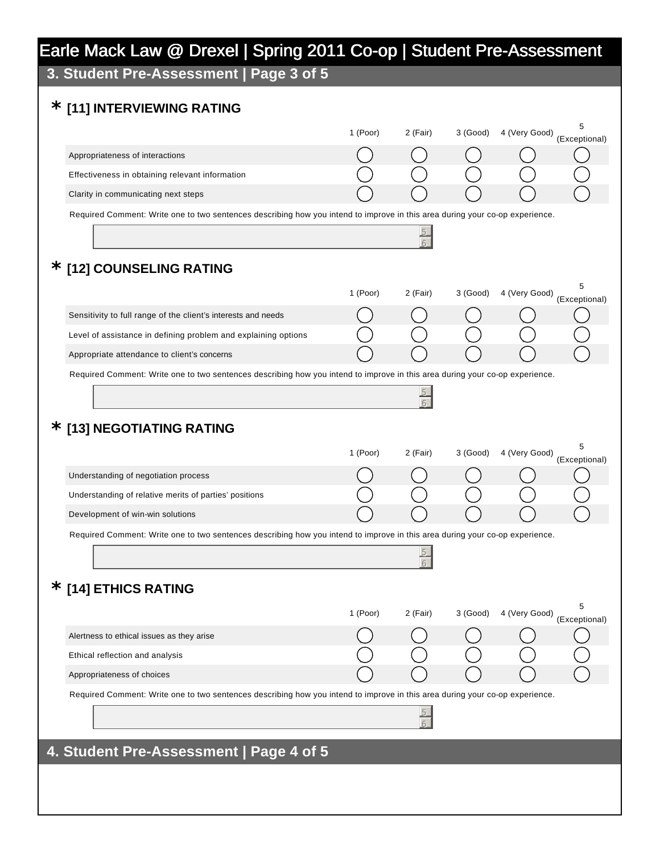# Earle Mack Law @ Drexel | Spring 2011 Co-op | Student Pre-Assessment

**3. Student Pre-Assessment | Page 3 of 5**

#### **[11] INTERVIEWING RATING \***

|                                                 | l (Poor) | 2 (Fair) | 3 (Good) | 4 (Very Good) | (Exceptional) |
|-------------------------------------------------|----------|----------|----------|---------------|---------------|
| Appropriateness of interactions                 |          |          |          |               |               |
| Effectiveness in obtaining relevant information |          |          |          |               |               |
| Clarity in communicating next steps             |          |          |          |               |               |

5 6

5 6

5 6

5 6

Required Comment: Write one to two sentences describing how you intend to improve in this area during your co-op experience.

#### **[12] COUNSELING RATING \***

|                                                                | 1 (Poor) | 2 (Fair) | 3 (Good) | 4 (Very Good) | (Exceptional) |
|----------------------------------------------------------------|----------|----------|----------|---------------|---------------|
| Sensitivity to full range of the client's interests and needs  |          |          |          |               |               |
| Level of assistance in defining problem and explaining options |          |          |          |               |               |
| Appropriate attendance to client's concerns                    |          |          |          |               |               |
|                                                                |          |          |          |               |               |

Required Comment: Write one to two sentences describing how you intend to improve in this area during your co-op experience.

#### **[13] NEGOTIATING RATING \***

|                                                        | l (Poor) | 2 (Fair) | 3 (Good) | 4 (Very Good) | (Exceptional) |
|--------------------------------------------------------|----------|----------|----------|---------------|---------------|
| Understanding of negotiation process                   |          |          |          |               |               |
| Understanding of relative merits of parties' positions |          |          |          |               |               |
| Development of win-win solutions                       |          |          |          |               |               |
|                                                        |          |          |          |               |               |

Required Comment: Write one to two sentences describing how you intend to improve in this area during your co-op experience.

#### **[14] ETHICS RATING \***

|                                           | l (Poor) | 2 (Fair) | 3 (Good) | 4 (Very Good) | (Exceptional) |
|-------------------------------------------|----------|----------|----------|---------------|---------------|
| Alertness to ethical issues as they arise |          |          |          |               |               |
| Ethical reflection and analysis           |          |          |          |               |               |
| Appropriateness of choices                |          |          |          |               |               |

Required Comment: Write one to two sentences describing how you intend to improve in this area during your co-op experience.

#### **4. Student Pre-Assessment | Page 4 of 5**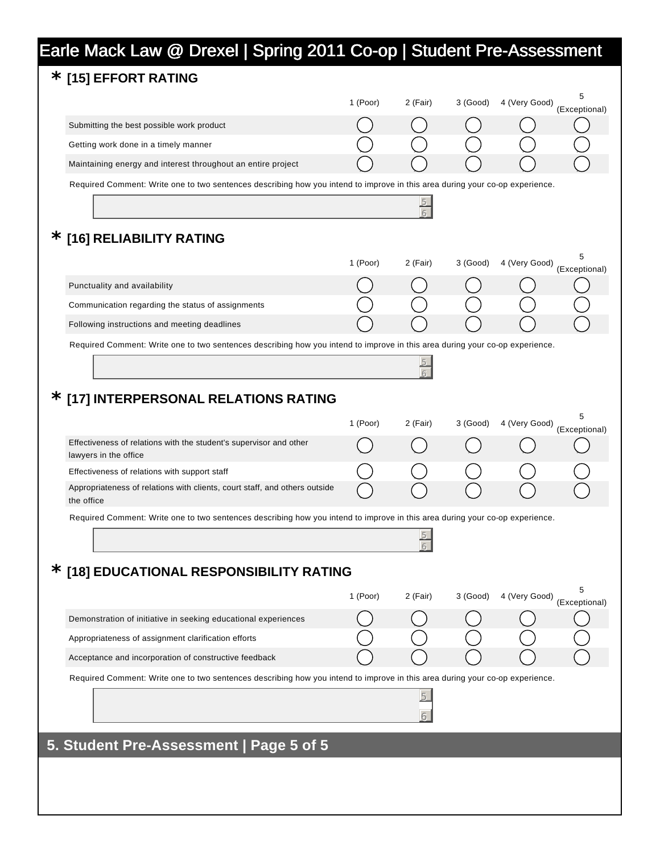## Earle Mack Law @ Drexel | Spring 2011 Co-op | Student Pre-Assessment

#### **[15] EFFORT RATING \***

|                                                                                                                              |          |          |            |               | 5                  |
|------------------------------------------------------------------------------------------------------------------------------|----------|----------|------------|---------------|--------------------|
|                                                                                                                              | 1 (Poor) | 2 (Fair) | 3 (Good)   | 4 (Very Good) | (Exceptional)      |
| Submitting the best possible work product                                                                                    |          |          |            |               |                    |
| Getting work done in a timely manner                                                                                         |          |          |            |               |                    |
| Maintaining energy and interest throughout an entire project                                                                 |          |          |            |               |                    |
| Required Comment: Write one to two sentences describing how you intend to improve in this area during your co-op experience. |          |          |            |               |                    |
|                                                                                                                              |          | 5        |            |               |                    |
|                                                                                                                              |          |          |            |               |                    |
| $\star$ [16] RELIABILITY RATING                                                                                              |          |          |            |               |                    |
|                                                                                                                              | 1 (Poor) | 2 (Fair) | 3 (Good)   | 4 (Very Good) | 5<br>(Exceptional) |
| Punctuality and availability                                                                                                 |          |          |            |               |                    |
| Communication regarding the status of assignments                                                                            |          |          |            |               |                    |
| Following instructions and meeting deadlines                                                                                 |          |          |            |               |                    |
| Required Comment: Write one to two sentences describing how you intend to improve in this area during your co-op experience. |          |          |            |               |                    |
|                                                                                                                              |          |          |            |               |                    |
|                                                                                                                              |          |          |            |               |                    |
| $\star$ [17] INTERPERSONAL RELATIONS RATING                                                                                  |          |          |            |               |                    |
|                                                                                                                              | 1 (Poor) | 2 (Fair) | $3$ (Good) | 4 (Very Good) | 5<br>(Exceptional) |
| Effectiveness of relations with the student's supervisor and other                                                           |          |          |            |               |                    |
| lawyers in the office                                                                                                        |          |          |            |               |                    |
| Effectiveness of relations with support staff<br>Appropriateness of relations with clients, court staff, and others outside  |          |          |            |               |                    |
| the office                                                                                                                   |          |          |            |               |                    |
| Required Comment: Write one to two sentences describing how you intend to improve in this area during your co-op experience. |          |          |            |               |                    |
|                                                                                                                              |          |          |            |               |                    |
|                                                                                                                              |          |          |            |               |                    |
| [18] EDUCATIONAL RESPONSIBILITY RATING                                                                                       |          |          |            |               |                    |
|                                                                                                                              | 1 (Poor) | 2 (Fair) | 3 (Good)   | 4 (Very Good) | 5<br>(Exceptional) |
| Demonstration of initiative in seeking educational experiences                                                               |          |          |            |               |                    |
| Appropriateness of assignment clarification efforts                                                                          |          |          |            |               |                    |
| Acceptance and incorporation of constructive feedback                                                                        |          |          |            |               |                    |
| Required Comment: Write one to two sentences describing how you intend to improve in this area during your co-op experience. |          |          |            |               |                    |
|                                                                                                                              |          | 5        |            |               |                    |
|                                                                                                                              |          |          |            |               |                    |
|                                                                                                                              |          |          |            |               |                    |
| 5. Student Pre-Assessment   Page 5 of 5                                                                                      |          |          |            |               |                    |
|                                                                                                                              |          |          |            |               |                    |
|                                                                                                                              |          |          |            |               |                    |